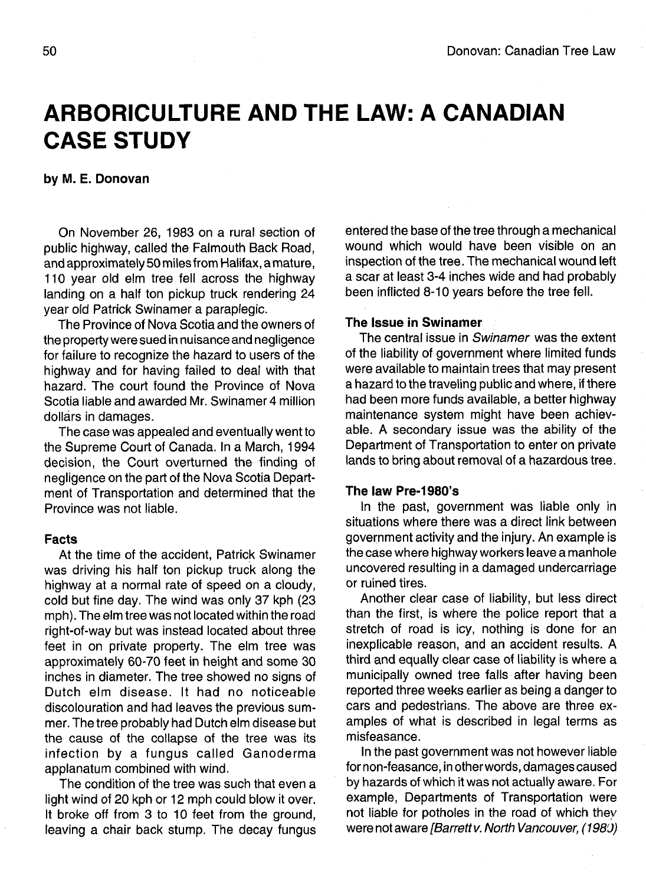# **ARBORICULTURE AND THE LAW: A CANADIAN CASE STUDY**

# **by M. E. Donovan**

On November 26, 1983 on a rural section of public highway, called the Falmouth Back Road, and approximately 50 miles from Halifax, a mature, 110 year old elm tree fell across the highway landing on a half ton pickup truck rendering 24 year old Patrick Swinamer a paraplegic.

The Province of Nova Scotia and the owners of the property were sued in nuisance and negligence for failure to recognize the hazard to users of the highway and for having failed to deal with that hazard. The court found the Province of Nova Scotia liable and awarded Mr. Swinamer 4 million dollars in damages.

The case was appealed and eventually went to the Supreme Court of Canada. In a March, 1994 decision, the Court overturned the finding of negligence on the part of the Nova Scotia Department of Transportation and determined that the Province was not liable.

### **Facts**

At the time of the accident, Patrick Swinamer was driving his half ton pickup truck along the highway at a normal rate of speed on a cloudy, cold but fine day. The wind was only 37 kph (23 mph). The elm tree was not located within the road right-of-way but was instead located about three feet in on private property. The elm tree was approximately 60-70 feet in height and some 30 inches in diameter. The tree showed no signs of Dutch elm disease. It had no noticeable discolouration and had leaves the previous summer. The tree probably had Dutch elm disease but the cause of the collapse of the tree was its infection by a fungus called Ganoderma applanatum combined with wind.

The condition of the tree was such that even a light wind of 20 kph or 12 mph could blow it over. It broke off from 3 to 10 feet from the ground, leaving a chair back stump. The decay fungus entered the base of the tree through a mechanical wound which would have been visible on an inspection of the tree. The mechanical wound left a scar at least 3-4 inches wide and had probably been inflicted 8-10 years before the tree fell.

# **The Issue in Swinamer**

The central issue in Swinamer was the extent of the liability of government where limited funds were available to maintain trees that may present a hazard to the traveling public and where, if there had been more funds available, a better highway maintenance system might have been achievable. A secondary issue was the ability of the Department of Transportation to enter on private lands to bring about removal of a hazardous tree.

# **The law Pre-1980's**

In the past, government was liable only in situations where there was a direct link between government activity and the injury. An example is the case where highway workers leave a manhole uncovered resulting in a damaged undercarriage or ruined tires.

Another clear case of liability, but less direct than the first, is where the police report that a stretch of road is icy, nothing is done for an inexplicable reason, and an accident results. A third and equally clear case of liability is where a municipally owned tree falls after having been reported three weeks earlier as being a danger to cars and pedestrians. The above are three examples of what is described in legal terms as misfeasance.

In the past government was not however liable for non-feasance, in other words, damages caused by hazards of which it was not actually aware. For example, Departments of Transportation were not liable for potholes in the road of which they were not aware [Barrett v. North Vancouver, (1980)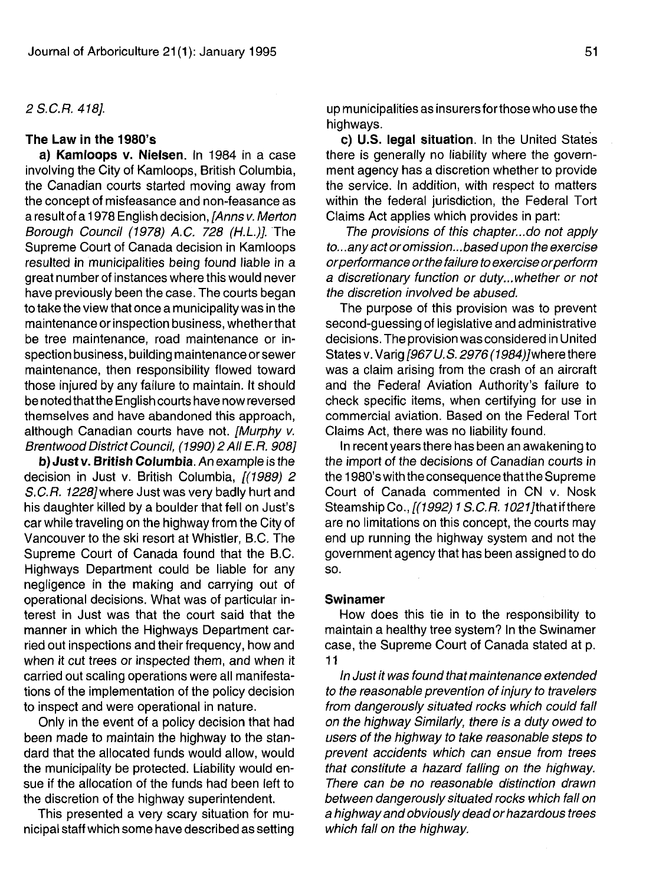### 2S.C.R.418].

### **The Law in the 1980's**

**a) Kamloops v. Nielsen.** In 1984 in a case involving the City of Kamloops, British Columbia, the Canadian courts started moving away from the concept of misfeasance and non-feasance as a result of a 1978 English decision, [Anns v. Merton Borough Council (1978) A.C. 728 (H.L.)]. The Supreme Court of Canada decision in Kamloops resulted in municipalities being found liable in a great number of instances where this would never have previously been the case. The courts began to take the view that once a municipality was in the maintenance or inspection business, whetherthat be tree maintenance, road maintenance or inspection business, building maintenance or sewer maintenance, then responsibility flowed toward those injured by any failure to maintain. It should be noted thatthe English courts have now reversed themselves and have abandoned this approach, although Canadian courts have not. [Murphy v. Brentwood District Council, (1990) 2 All E.R. 908]

**b) Just v. British Columbia.** An example is the decision in Just v. British Columbia, [(1989) 2 S.C.R. 1228] where Just was very badly hurt and his daughter killed by a boulder that fell on Just's car while traveling on the highway from the City of Vancouver to the ski resort at Whistler, B.C. The Supreme Court of Canada found that the B.C. Highways Department could be liable for any negligence in the making and carrying out of operational decisions. What was of particular interest in Just was that the court said that the manner in which the Highways Department carried out inspections and their frequency, how and when it cut trees or inspected them, and when it carried out scaling operations were all manifestations of the implementation of the policy decision to inspect and were operational in nature.

Only in the event of a policy decision that had been made to maintain the highway to the standard that the allocated funds would allow, would the municipality be protected. Liability would ensue if the allocation of the funds had been left to the discretion of the highway superintendent.

This presented a very scary situation for municipal staff which some have described as setting up municipalities as insurers for those who use the highways.

**c) U.S. legal situation.** In the United States there is generally no liability where the government agency has a discretion whether to provide the service. In addition, with respect to matters within the federal jurisdiction, the Federal Tort Claims Act applies which provides in part:

The provisions of this chapter...do not apply to. ..any act or omission... based upon the exercise or performance or the failure to exercise or perform a discretionary function or duty...whether or not the discretion involved be abused.

The purpose of this provision was to prevent second-guessing of legislative and administrative decisions. The provision was considered in United States v. Varig [967 U.S. 2976 (1984)] where there was a claim arising from the crash of an aircraft and the Federal Aviation Authority's failure to check specific items, when certifying for use in commercial aviation. Based on the Federal Tort Claims Act, there was no liability found.

In recent years there has been an awakening to the import of the decisions of Canadian courts in the 1980's with the consequence that the Supreme Court of Canada commented in CN v. Nosk Steamship Co.,  $\int (1992) 1 S.C.R. 1021$ ] that if there are no limitations on this concept, the courts may end up running the highway system and not the government agency that has been assigned to do so.

# **Swinamer**

How does this tie in to the responsibility to maintain a healthy tree system? In the Swinamer case, the Supreme Court of Canada stated at p. 11

In Just it was found that maintenance extended to the reasonable prevention of injury to travelers from dangerously situated rocks which could fall on the highway Similarly, there is a duty owed to users of the highway to take reasonable steps to prevent accidents which can ensue from trees that constitute a hazard falling on the highway. There can be no reasonable distinction drawn between dangerously situated rocks which fall on a highway and obviously dead or hazardous trees which fall on the highway.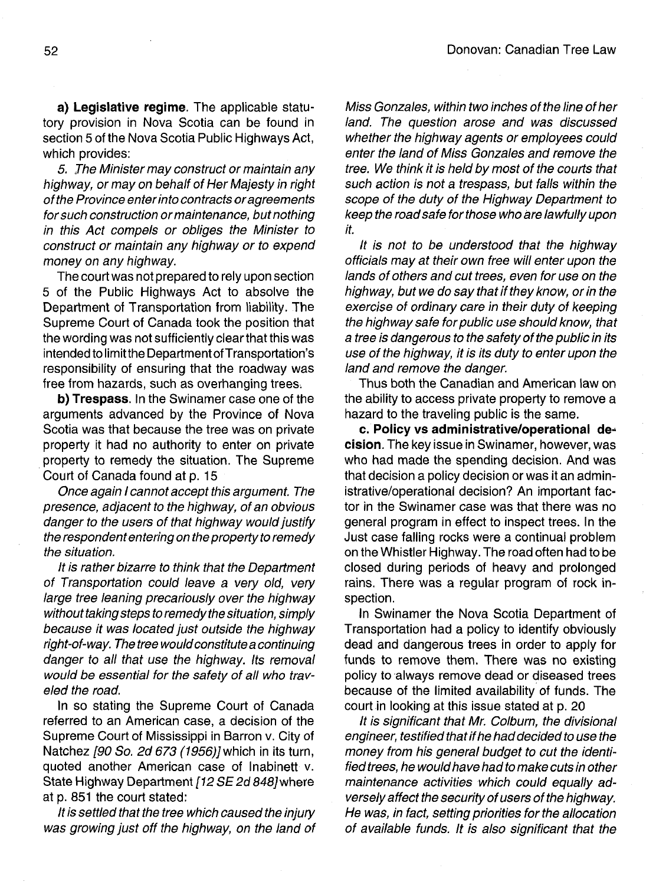**a) Legislative regime.** The applicable statutory provision in Nova Scotia can be found in section 5 of the Nova Scotia Public Highways Act, which provides:

5. The Minister may construct or maintain any highway, or may on behalf of Her Majesty in right of the Province enter into contracts or agreements for such construction or maintenance, but nothing in this Act compels or obliges the Minister to construct or maintain any highway or to expend money on any highway.

The court was not prepared to rely upon section 5 of the Public Highways Act to absolve the Department of Transportation from liability. The Supreme Court of Canada took the position that the wording was not sufficiently clear that this was intended to limit the Department of Transportation's responsibility of ensuring that the roadway was free from hazards, such as overhanging trees.

**b) Trespass.** In the Swinamer case one of the arguments advanced by the Province of Nova Scotia was that because the tree was on private property it had no authority to enter on private property to remedy the situation. The Supreme Court of Canada found at p. 15

Once again I cannot accept this argument. The presence, adjacent to the highway, of an obvious danger to the users of that highway would justify the respondent entering on the property to remedy the situation.

It is rather bizarre to think that the Department of Transportation could leave a very old, very large tree leaning precariously over the highway without taking steps to remedy the situation, simply because it was located just outside the highway right-of-way. The tree would constitute a continuing danger to all that use the highway. Its removal would be essential for the safety of all who traveled the road.

In so stating the Supreme Court of Canada referred to an American case, a decision of the Supreme Court of Mississippi in Barron v. City of Natchez [90 So. 2d 673 (1956)] which in its turn, quoted another American case of Inabinett v. State Highway Department [12 SE 2d 848] where at p. 851 the court stated:

It is settled that the tree which caused the injury was growing just off the highway, on the land of Miss Gonzales, within two inches of the line of her land. The question arose and was discussed whether the highway agents or employees could enter the land of Miss Gonzales and remove the tree. We think it is held by most of the courts that such action is not a trespass, but falls within the scope of the duty of the Highway Department to keep the road safe for those who are lawfully upon it.

It is not to be understood that the highway officials may at their own free will enter upon the lands of others and cut trees, even for use on the highway, but we do say that if they know, or in the exercise of ordinary care in their duty of keeping the highway safe for public use should know, that a tree is dangerous to the safety of the public in its use of the highway, it is its duty to enter upon the land and remove the danger.

Thus both the Canadian and American law on the ability to access private property to remove a hazard to the traveling public is the same.

**c. Policy vs administrative/operational decision.** The key issue in Swinamer, however, was who had made the spending decision. And was that decision a policy decision or was it an administrative/operational decision? An important factor in the Swinamer case was that there was no general program in effect to inspect trees. In the Just case falling rocks were a continual problem on the Whistler Highway. The road often had to be closed during periods of heavy and prolonged rains. There was a regular program of rock inspection.

In Swinamer the Nova Scotia Department of Transportation had a policy to identify obviously dead and dangerous trees in order to apply for funds to remove them. There was no existing policy to always remove dead or diseased trees because of the limited availability of funds. The court in looking at this issue stated at p. 20

It is significant that Mr. Colburn, the divisional engineer, testified that if he had decided to use the money from his general budget to cut the identified trees, he would have had to make cuts in other maintenance activities which could equally adversely affect the security of users of the highway. He was, in fact, setting priorities for the allocation of available funds. It is also significant that the